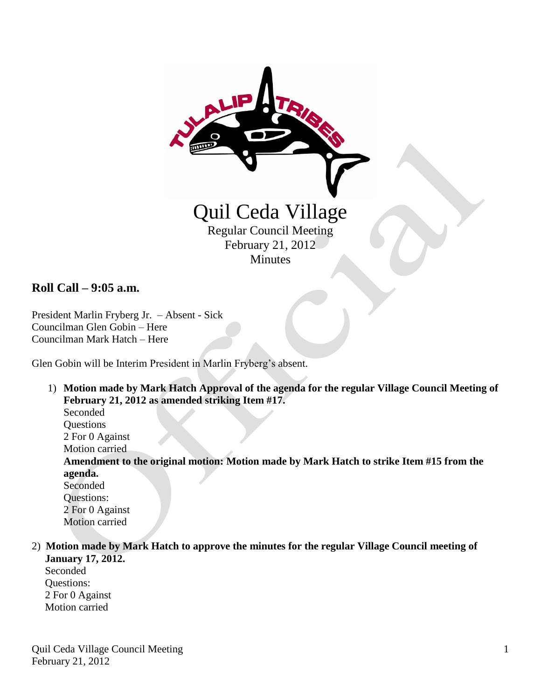

# **Roll Call – 9:05 a.m.**

President Marlin Fryberg Jr. – Absent - Sick Councilman Glen Gobin – Here Councilman Mark Hatch – Here

Glen Gobin will be Interim President in Marlin Fryberg's absent.

1) **Motion made by Mark Hatch Approval of the agenda for the regular Village Council Meeting of February 21, 2012 as amended striking Item #17.**

Seconded **Questions**  2 For 0 Against Motion carried

**Amendment to the original motion: Motion made by Mark Hatch to strike Item #15 from the agenda.**

Seconded Questions: 2 For 0 Against Motion carried

2) **Motion made by Mark Hatch to approve the minutes for the regular Village Council meeting of January 17, 2012.**

 Seconded Questions: 2 For 0 Against Motion carried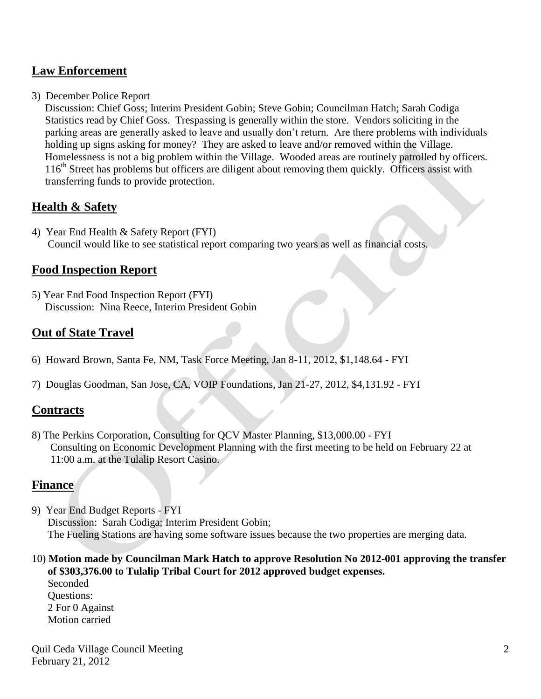## **Law Enforcement**

3) December Police Report

 Discussion: Chief Goss; Interim President Gobin; Steve Gobin; Councilman Hatch; Sarah Codiga Statistics read by Chief Goss. Trespassing is generally within the store. Vendors soliciting in the parking areas are generally asked to leave and usually don't return. Are there problems with individuals holding up signs asking for money? They are asked to leave and/or removed within the Village. Homelessness is not a big problem within the Village. Wooded areas are routinely patrolled by officers. 116<sup>th</sup> Street has problems but officers are diligent about removing them quickly. Officers assist with transferring funds to provide protection.

### **Health & Safety**

4) Year End Health & Safety Report (FYI) Council would like to see statistical report comparing two years as well as financial costs.

### **Food Inspection Report**

5) Year End Food Inspection Report (FYI) Discussion: Nina Reece, Interim President Gobin

## **Out of State Travel**

- 6) Howard Brown, Santa Fe, NM, Task Force Meeting, Jan 8-11, 2012, \$1,148.64 FYI
- 7) Douglas Goodman, San Jose, CA, VOIP Foundations, Jan 21-27, 2012, \$4,131.92 FYI

#### **Contracts**

8) The Perkins Corporation, Consulting for QCV Master Planning, \$13,000.00 - FYI Consulting on Economic Development Planning with the first meeting to be held on February 22 at 11:00 a.m. at the Tulalip Resort Casino.

### **Finance**

- 9) Year End Budget Reports FYI Discussion: Sarah Codiga; Interim President Gobin; The Fueling Stations are having some software issues because the two properties are merging data.
- 10) **Motion made by Councilman Mark Hatch to approve Resolution No 2012-001 approving the transfer of \$303,376.00 to Tulalip Tribal Court for 2012 approved budget expenses.**

 Seconded Questions: 2 For 0 Against Motion carried

Quil Ceda Village Council Meeting February 21, 2012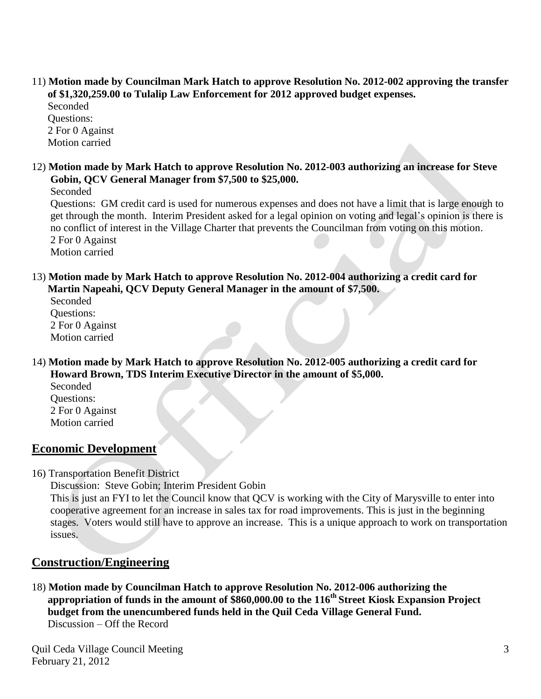11) **Motion made by Councilman Mark Hatch to approve Resolution No. 2012-002 approving the transfer of \$1,320,259.00 to Tulalip Law Enforcement for 2012 approved budget expenses.**

 Seconded Questions: 2 For 0 Against Motion carried

12) **Motion made by Mark Hatch to approve Resolution No. 2012-003 authorizing an increase for Steve Gobin, QCV General Manager from \$7,500 to \$25,000.**

Seconded

 Questions: GM credit card is used for numerous expenses and does not have a limit that is large enough to get through the month. Interim President asked for a legal opinion on voting and legal's opinion is there is no conflict of interest in the Village Charter that prevents the Councilman from voting on this motion. 2 For 0 Against

Motion carried

13) **Motion made by Mark Hatch to approve Resolution No. 2012-004 authorizing a credit card for Martin Napeahi, QCV Deputy General Manager in the amount of \$7,500.**

 Seconded Questions: 2 For 0 Against Motion carried

- 14) **Motion made by Mark Hatch to approve Resolution No. 2012-005 authorizing a credit card for Howard Brown, TDS Interim Executive Director in the amount of \$5,000.**
	- Seconded Questions: 2 For 0 Against Motion carried

# **Economic Development**

16) Transportation Benefit District

Discussion: Steve Gobin; Interim President Gobin

 This is just an FYI to let the Council know that QCV is working with the City of Marysville to enter into cooperative agreement for an increase in sales tax for road improvements. This is just in the beginning stages. Voters would still have to approve an increase. This is a unique approach to work on transportation issues.

# **Construction/Engineering**

18) **Motion made by Councilman Hatch to approve Resolution No. 2012-006 authorizing the appropriation of funds in the amount of \$860,000.00 to the 116th Street Kiosk Expansion Project budget from the unencumbered funds held in the Quil Ceda Village General Fund.** Discussion – Off the Record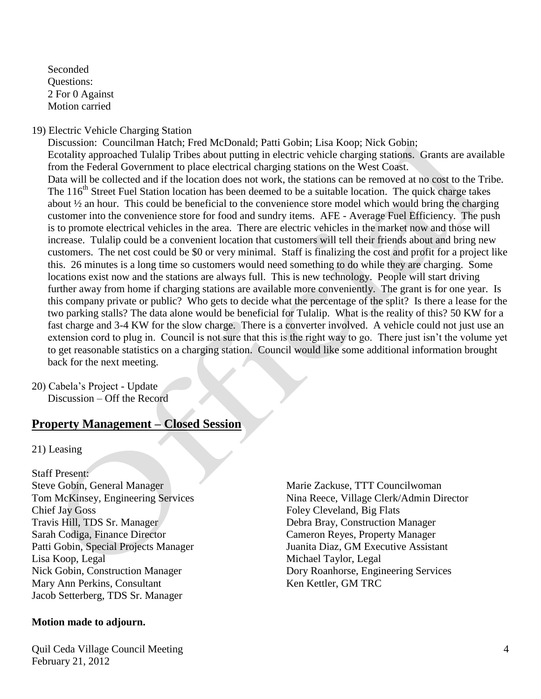Seconded Questions: 2 For 0 Against Motion carried

#### 19) Electric Vehicle Charging Station

 Discussion: Councilman Hatch; Fred McDonald; Patti Gobin; Lisa Koop; Nick Gobin; Ecotality approached Tulalip Tribes about putting in electric vehicle charging stations. Grants are available from the Federal Government to place electrical charging stations on the West Coast. Data will be collected and if the location does not work, the stations can be removed at no cost to the Tribe. The 116<sup>th</sup> Street Fuel Station location has been deemed to be a suitable location. The quick charge takes about ½ an hour. This could be beneficial to the convenience store model which would bring the charging customer into the convenience store for food and sundry items. AFE - Average Fuel Efficiency. The push is to promote electrical vehicles in the area. There are electric vehicles in the market now and those will increase. Tulalip could be a convenient location that customers will tell their friends about and bring new customers. The net cost could be \$0 or very minimal. Staff is finalizing the cost and profit for a project like this. 26 minutes is a long time so customers would need something to do while they are charging. Some locations exist now and the stations are always full. This is new technology. People will start driving further away from home if charging stations are available more conveniently. The grant is for one year. Is this company private or public? Who gets to decide what the percentage of the split? Is there a lease for the two parking stalls? The data alone would be beneficial for Tulalip. What is the reality of this? 50 KW for a fast charge and 3-4 KW for the slow charge. There is a converter involved. A vehicle could not just use an extension cord to plug in. Council is not sure that this is the right way to go. There just isn't the volume yet to get reasonable statistics on a charging station. Council would like some additional information brought back for the next meeting.

20) Cabela's Project - Update Discussion – Off the Record

# **Property Management – Closed Session**

21) Leasing

Staff Present: Steve Gobin, General Manager Marie Zackuse, TTT Councilwoman Chief Jay Goss Foley Cleveland, Big Flats Travis Hill, TDS Sr. Manager Debra Bray, Construction Manager Sarah Codiga, Finance Director Cameron Reyes, Property Manager Patti Gobin, Special Projects Manager Juanita Diaz, GM Executive Assistant Lisa Koop, Legal Nichael Taylor, Legal Nichael Taylor, Legal Mary Ann Perkins, Consultant Ken Kettler, GM TRC Jacob Setterberg, TDS Sr. Manager

#### **Motion made to adjourn.**

Quil Ceda Village Council Meeting February 21, 2012

Tom McKinsey, Engineering Services Nina Reece, Village Clerk/Admin Director Nick Gobin, Construction Manager Dory Roanhorse, Engineering Services